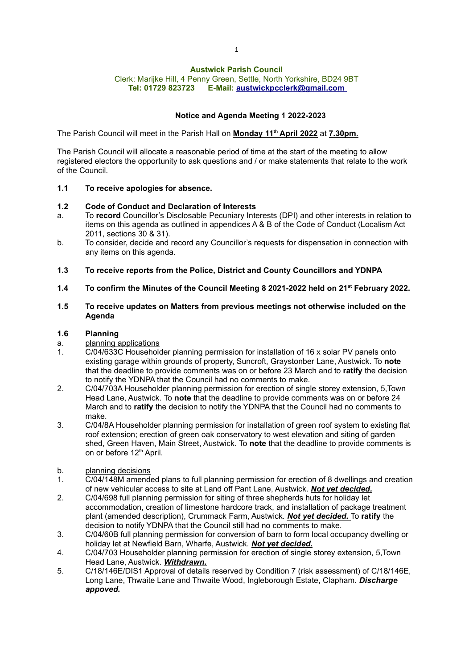# Austwick Parish Council

Clerk: Marijke Hill, 4 Penny Green, Settle, North Yorkshire, BD24 9BT Tel: 01729 823723 E-Mail: austwickpcclerk@gmail.com

## Notice and Agenda Meeting 1 2022-2023

The Parish Council will meet in the Parish Hall on <u>Monday 11<sup>th</sup> April 2022</u> at <u>7.30pm.</u>

The Parish Council will allocate a reasonable period of time at the start of the meeting to allow registered electors the opportunity to ask questions and / or make statements that relate to the work of the Council.

#### 1.1 To receive apologies for absence.

#### 1.2 Code of Conduct and Declaration of Interests

- a. To record Councillor's Disclosable Pecuniary Interests (DPI) and other interests in relation to items on this agenda as outlined in appendices A & B of the Code of Conduct (Localism Act 2011, sections 30 & 31).
- b. To consider, decide and record any Councillor's requests for dispensation in connection with any items on this agenda.
- 1.3 To receive reports from the Police, District and County Councillors and YDNPA
- 1.4 To confirm the Minutes of the Council Meeting 8 2021-2022 held on 21<sup>st</sup> February 2022.

#### 1.5 To receive updates on Matters from previous meetings not otherwise included on the Agenda

### 1.6 Planning

- a. planning applications
- 1. C/04/633C Householder planning permission for installation of 16 x solar PV panels onto existing garage within grounds of property. Suncroft, Graystonber Lane, Austwick. To note that the deadline to provide comments was on or before 23 March and to **ratify** the decision to notify the YDNPA that the Council had no comments to make.
- 2. C/04/703A Householder planning permission for erection of single storey extension, 5,Town Head Lane, Austwick. To note that the deadline to provide comments was on or before 24 March and to ratify the decision to notify the YDNPA that the Council had no comments to make.
- 3. C/04/8A Householder planning permission for installation of green roof system to existing flat roof extension; erection of green oak conservatory to west elevation and siting of garden shed. Green Haven, Main Street, Austwick. To note that the deadline to provide comments is on or before 12<sup>th</sup> April.
- b. planning decisions
- 1. C/04/148M amended plans to full planning permission for erection of 8 dwellings and creation of new vehicular access to site at Land off Pant Lane, Austwick. Not yet decided.
- 2. C/04/698 full planning permission for siting of three shepherds huts for holiday let accommodation, creation of limestone hardcore track, and installation of package treatment plant (amended description), Crummack Farm, Austwick. Not yet decided. To ratify the decision to notify YDNPA that the Council still had no comments to make.
- 3. C/04/60B full planning permission for conversion of barn to form local occupancy dwelling or holiday let at Newfield Barn, Wharfe, Austwick, **Not yet decided.**
- 4. C/04/703 Householder planning permission for erection of single storey extension, 5,Town Head Lane, Austwick. Withdrawn.
- 5. C/18/146E/DIS1 Approval of details reserved by Condition 7 (risk assessment) of C/18/146E, Long Lane, Thwaite Lane and Thwaite Wood, Ingleborough Estate, Clapham. Discharge appoved.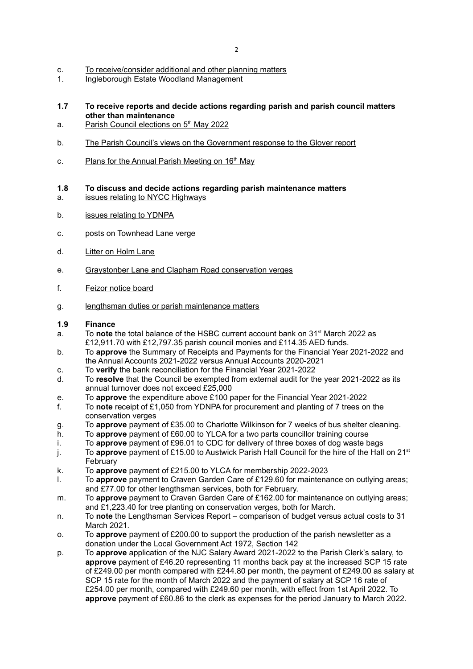- c. To receive/consider additional and other planning matters<br>1 Ingleborough Estate Woodland Management
- 1. Ingleborough Estate Woodland Management
- 1.7 To receive reports and decide actions regarding parish and parish council matters other than maintenance
- a. Parish Council elections on 5<sup>th</sup> May 2022
- b. The Parish Council's views on the Government response to the Glover report
- c. Plans for the Annual Parish Meeting on 16<sup>th</sup> May

#### 1.8 To discuss and decide actions regarding parish maintenance matters

- a. issues relating to NYCC Highways
- b. issues relating to YDNPA
- c. posts on Townhead Lane verge
- d. Litter on Holm Lane
- e. Graystonber Lane and Clapham Road conservation verges
- f. Feizor notice board
- g. lengthsman duties or parish maintenance matters

#### 1.9 Finance

- a. To note the total balance of the HSBC current account bank on  $31<sup>st</sup>$  March 2022 as £12,911.70 with £12,797.35 parish council monies and £114.35 AED funds.
- b. To approve the Summary of Receipts and Payments for the Financial Year 2021-2022 and the Annual Accounts 2021-2022 versus Annual Accounts 2020-2021
- c. To verify the bank reconciliation for the Financial Year 2021-2022
- d. To resolve that the Council be exempted from external audit for the year 2021-2022 as its annual turnover does not exceed £25,000
- e. To **approve** the expenditure above £100 paper for the Financial Year 2021-2022<br>f To **note** receipt of £1.050 from YDNPA for procurement and planting of 7 trees or
- To note receipt of £1,050 from YDNPA for procurement and planting of 7 trees on the conservation verges
- g. To approve payment of £35.00 to Charlotte Wilkinson for 7 weeks of bus shelter cleaning.
- h. To approve payment of £60.00 to YLCA for a two parts councillor training course
- i. To approve payment of £96.01 to CDC for delivery of three boxes of dog waste bags
- j. To approve payment of £15.00 to Austwick Parish Hall Council for the hire of the Hall on  $21<sup>st</sup>$ February
- k. To approve payment of £215.00 to YLCA for membership 2022-2023
- 1. To approve payment to Craven Garden Care of £129.60 for maintenance on outlying areas; and £77.00 for other lengthsman services, both for February.
- m. To approve payment to Craven Garden Care of £162.00 for maintenance on outlying areas; and £1,223.40 for tree planting on conservation verges, both for March.
- n. To note the Lengthsman Services Report comparison of budget versus actual costs to 31 March 2021.
- o. To approve payment of £200.00 to support the production of the parish newsletter as a donation under the Local Government Act 1972, Section 142
- p. To approve application of the NJC Salary Award 2021-2022 to the Parish Clerk's salary, to approve payment of £46.20 representing 11 months back pay at the increased SCP 15 rate of £249.00 per month compared with £244.80 per month, the payment of £249.00 as salary at SCP 15 rate for the month of March 2022 and the payment of salary at SCP 16 rate of £254.00 per month, compared with £249.60 per month, with effect from 1st April 2022. To approve payment of £60.86 to the clerk as expenses for the period January to March 2022.